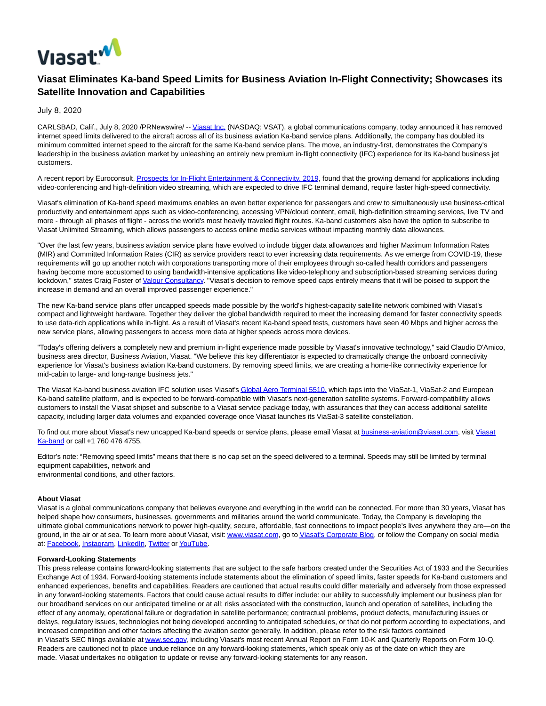

## **Viasat Eliminates Ka-band Speed Limits for Business Aviation In-Flight Connectivity; Showcases its Satellite Innovation and Capabilities**

July 8, 2020

CARLSBAD, Calif., July 8, 2020 /PRNewswire/ -[- Viasat Inc. \(](https://c212.net/c/link/?t=0&l=en&o=2851286-1&h=1188873470&u=http%3A%2F%2Fwww.viasat.com%2F&a=Viasat+Inc.)NASDAQ: VSAT), a global communications company, today announced it has removed internet speed limits delivered to the aircraft across all of its business aviation Ka-band service plans. Additionally, the company has doubled its minimum committed internet speed to the aircraft for the same Ka-band service plans. The move, an industry-first, demonstrates the Company's leadership in the business aviation market by unleashing an entirely new premium in-flight connectivity (IFC) experience for its Ka-band business jet customers.

A recent report by Euroconsult[, Prospects for In-Flight Entertainment & Connectivity, 2019,](https://c212.net/c/link/?t=0&l=en&o=2851286-1&h=2798158217&u=http%3A%2F%2Fwww.euroconsult-ec.com%2F5_September_2019&a=Prospects+for+In-Flight+Entertainment+%26+Connectivity%2C+2019) found that the growing demand for applications including video-conferencing and high-definition video streaming, which are expected to drive IFC terminal demand, require faster high-speed connectivity.

Viasat's elimination of Ka-band speed maximums enables an even better experience for passengers and crew to simultaneously use business-critical productivity and entertainment apps such as video-conferencing, accessing VPN/cloud content, email, high-definition streaming services, live TV and more - through all phases of flight - across the world's most heavily traveled flight routes. Ka-band customers also have the option to subscribe to Viasat Unlimited Streaming, which allows passengers to access online media services without impacting monthly data allowances.

"Over the last few years, business aviation service plans have evolved to include bigger data allowances and higher Maximum Information Rates (MIR) and Committed Information Rates (CIR) as service providers react to ever increasing data requirements. As we emerge from COVID-19, these requirements will go up another notch with corporations transporting more of their employees through so-called health corridors and passengers having become more accustomed to using bandwidth-intensive applications like video-telephony and subscription-based streaming services during lockdown," states Craig Foster o[f Valour Consultancy.](https://c212.net/c/link/?t=0&l=en&o=2851286-1&h=4258376205&u=https%3A%2F%2Fvalourconsultancy.com%2F&a=Valour+Consultancy) "Viasat's decision to remove speed caps entirely means that it will be poised to support the increase in demand and an overall improved passenger experience."

The new Ka-band service plans offer uncapped speeds made possible by the world's highest-capacity satellite network combined with Viasat's compact and lightweight hardware. Together they deliver the global bandwidth required to meet the increasing demand for faster connectivity speeds to use data-rich applications while in-flight. As a result of Viasat's recent Ka-band speed tests, customers have seen 40 Mbps and higher across the new service plans, allowing passengers to access more data at higher speeds across more devices.

"Today's offering delivers a completely new and premium in-flight experience made possible by Viasat's innovative technology," said Claudio D'Amico, business area director, Business Aviation, Viasat. "We believe this key differentiator is expected to dramatically change the onboard connectivity experience for Viasat's business aviation Ka-band customers. By removing speed limits, we are creating a home-like connectivity experience for mid-cabin to large- and long-range business jets."

The Viasat Ka-band business aviation IFC solution uses Viasat's [Global Aero Terminal 5510, w](https://c212.net/c/link/?t=0&l=en&o=2851286-1&h=890279864&u=https%3A%2F%2Fwww.viasat.com%2Fnode%2F2869&a=Global+Aero+Terminal+5510%2C)hich taps into the ViaSat-1, ViaSat-2 and European Ka-band satellite platform, and is expected to be forward-compatible with Viasat's next-generation satellite systems. Forward-compatibility allows customers to install the Viasat shipset and subscribe to a Viasat service package today, with assurances that they can access additional satellite capacity, including larger data volumes and expanded coverage once Viasat launches its ViaSat-3 satellite constellation.

To find out more about Viasat's new uncapped Ka-band speeds or service plans, please email Viasat a[t business-aviation@viasat.com,](mailto:business-aviation@viasat.com) visit [Viasat](https://c212.net/c/link/?t=0&l=en&o=2851286-1&h=3379444356&u=http%3A%2F%2Fwww.viasat.com%2Fbusiness-aviation&a=Viasat+Ka-band) Ka-band or call +1 760 476 4755.

Editor's note: "Removing speed limits" means that there is no cap set on the speed delivered to a terminal. Speeds may still be limited by terminal equipment capabilities, network and environmental conditions, and other factors.

## **About Viasat**

Viasat is a global communications company that believes everyone and everything in the world can be connected. For more than 30 years, Viasat has helped shape how consumers, businesses, governments and militaries around the world communicate. Today, the Company is developing the ultimate global communications network to power high-quality, secure, affordable, fast connections to impact people's lives anywhere they are—on the ground, in the air or at sea. To learn more about Viasat, visit[: www.viasat.com,](https://c212.net/c/link/?t=0&l=en&o=2851286-1&h=2871250084&u=http%3A%2F%2Fwww.viasat.com%2F&a=www.viasat.com) go t[o Viasat's Corporate Blog,](https://c212.net/c/link/?t=0&l=en&o=2851286-1&h=1925690360&u=https%3A%2F%2Fcorpblog.viasat.com%2F&a=Viasat%27s+Corporate+Blog) or follow the Company on social media at: [Facebook,](https://c212.net/c/link/?t=0&l=en&o=2851286-1&h=526649951&u=https%3A%2F%2Fwww.facebook.com%2FViaSat&a=Facebook) [Instagram,](https://c212.net/c/link/?t=0&l=en&o=2851286-1&h=1227773682&u=https%3A%2F%2Fwww.instagram.com%2Fviasatinc%2F&a=Instagram) [LinkedIn,](https://c212.net/c/link/?t=0&l=en&o=2851286-1&h=3586155749&u=https%3A%2F%2Fwww.linkedin.com%2Fcompany%2Fviasat&a=LinkedIn) [Twitter o](https://c212.net/c/link/?t=0&l=en&o=2851286-1&h=1368611509&u=https%3A%2F%2Ftwitter.com%2FViaSatInc&a=Twitter)[r YouTube.](https://c212.net/c/link/?t=0&l=en&o=2851286-1&h=1872484797&u=https%3A%2F%2Fwww.youtube.com%2Fuser%2FViaSatInc&a=YouTube)

## **Forward-Looking Statements**

This press release contains forward-looking statements that are subject to the safe harbors created under the Securities Act of 1933 and the Securities Exchange Act of 1934. Forward-looking statements include statements about the elimination of speed limits, faster speeds for Ka-band customers and enhanced experiences, benefits and capabilities. Readers are cautioned that actual results could differ materially and adversely from those expressed in any forward-looking statements. Factors that could cause actual results to differ include: our ability to successfully implement our business plan for our broadband services on our anticipated timeline or at all; risks associated with the construction, launch and operation of satellites, including the effect of any anomaly, operational failure or degradation in satellite performance; contractual problems, product defects, manufacturing issues or delays, regulatory issues, technologies not being developed according to anticipated schedules, or that do not perform according to expectations, and increased competition and other factors affecting the aviation sector generally. In addition, please refer to the risk factors contained in Viasat's SEC filings available a[t www.sec.gov,](https://c212.net/c/link/?t=0&l=en&o=2851286-1&h=906403490&u=http%3A%2F%2Fwww.sec.gov%2F&a=www.sec.gov) including Viasat's most recent Annual Report on Form 10-K and Quarterly Reports on Form 10-Q. Readers are cautioned not to place undue reliance on any forward-looking statements, which speak only as of the date on which they are made. Viasat undertakes no obligation to update or revise any forward-looking statements for any reason.